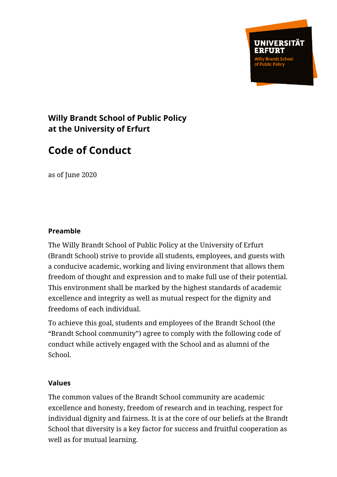UNIVERSITÄT

## **Willy Brandt School of Public Policy at the University of Erfurt**

# **Code of Conduct**

as of June 2020

#### **Preamble**

The Willy Brandt School of Public Policy at the University of Erfurt (Brandt School) strive to provide all students, employees, and guests with a conducive academic, working and living environment that allows them freedom of thought and expression and to make full use of their potential. This environment shall be marked by the highest standards of academic excellence and integrity as well as mutual respect for the dignity and freedoms of each individual.

To achieve this goal, students and employees of the Brandt School (the "Brandt School community") agree to comply with the following code of conduct while actively engaged with the School and as alumni of the School.

#### **Values**

The common values of the Brandt School community are academic excellence and honesty, freedom of research and in teaching, respect for individual dignity and fairness. It is at the core of our beliefs at the Brandt School that diversity is a key factor for success and fruitful cooperation as well as for mutual learning.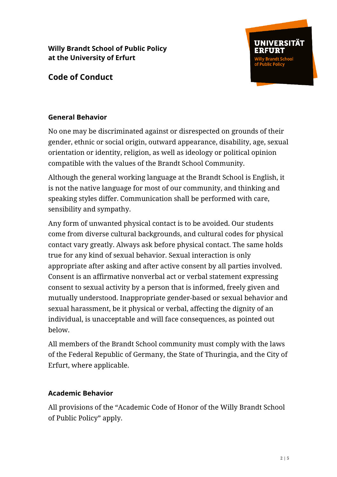

## **Code of Conduct**

#### **General Behavior**

No one may be discriminated against or disrespected on grounds of their gender, ethnic or social origin, outward appearance, disability, age, sexual orientation or identity, religion, as well as ideology or political opinion compatible with the values of the Brandt School Community.

Although the general working language at the Brandt School is English, it is not the native language for most of our community, and thinking and speaking styles differ. Communication shall be performed with care, sensibility and sympathy.

Any form of unwanted physical contact is to be avoided. Our students come from diverse cultural backgrounds, and cultural codes for physical contact vary greatly. Always ask before physical contact. The same holds true for any kind of sexual behavior. Sexual interaction is only appropriate after asking and after active consent by all parties involved. Consent is an affirmative nonverbal act or verbal statement expressing consent to sexual activity by a person that is informed, freely given and mutually understood. Inappropriate gender-based or sexual behavior and sexual harassment, be it physical or verbal, affecting the dignity of an individual, is unacceptable and will face consequences, as pointed out below.

All members of the Brandt School community must comply with the laws of the Federal Republic of Germany, the State of Thuringia, and the City of Erfurt, where applicable.

#### **Academic Behavior**

All provisions of the "Academic Code of Honor of the Willy Brandt School of Public Policy" apply.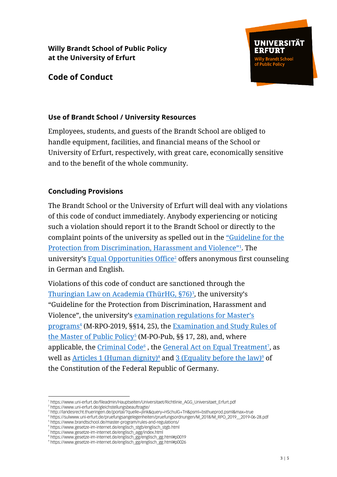



#### **Use of Brandt School / University Resources**

Employees, students, and guests of the Brandt School are obliged to handle equipment, facilities, and financial means of the School or University of Erfurt, respectively, with great care, economically sensitive and to the benefit of the whole community.

#### **Concluding Provisions**

The Brandt School or the University of Erfurt will deal with any violations of this code of conduct immediately. Anybody experiencing or noticing such a violation should report it to the Brandt School or directly to the complaint points of the university as spelled out in the ["Guideline for the](https://www.uni-erfurt.de/fileadmin/Hauptseiten/Universitaet/Richtlinie_AGG_Universitaet_Erfurt.pdf)  [Protection from Discrimination, Harassment and Violence"](https://www.uni-erfurt.de/fileadmin/Hauptseiten/Universitaet/Richtlinie_AGG_Universitaet_Erfurt.pdf)<sup>1</sup> . The university's [Equal Opportunities Office](https://www.uni-erfurt.de/gleichstellungsbeauftragte/)<sup>2</sup> offers anonymous first counseling in German and English.

Violations of this code of conduct are sanctioned through the <u>[Thuringian Law on Academia \(ThürHG, §76\)](http://landesrecht.thueringen.de/jportal/?quelle=jlink&query=HSchulG+TH&psml=bsthueprod.psml&max=true)<sup>3</sup>,</u> the university's "Guideline for the Protection from Discrimination, Harassment and Violence", the university's [examination regulations for Master's](https://sulwww.uni-erfurt.de/pruefungsangelegenheiten/pruefungsordnungen/M_2018/M_RPO_2019__2019-06-28.pdf)  <u>[programs](https://sulwww.uni-erfurt.de/pruefungsangelegenheiten/pruefungsordnungen/M_2018/M_RPO_2019__2019-06-28.pdf)<sup>4</sup></u> (M-RPO-2019, §§14, 25), the <u>Examination and Study Rules of</u> <u>[the Master of Public Policy](https://www.brandtschool.de/master-program/rules-and-regulations/)<sup>5</sup></u> (M-PO-Pub, §§ 17, 28), and, where applicable, the <u>Criminal Code<sup>6</sup>, the [General Act on Equal Treatment](https://www.gesetze-im-internet.de/englisch_agg/index.html)<sup>7</sup>, as</u> well as Articles [1 \(Human dignity\)](https://www.gesetze-im-internet.de/englisch_gg/englisch_gg.html#p0019)<sup>8</sup> and [3 \(Equality before the law\)](https://www.gesetze-im-internet.de/englisch_gg/englisch_gg.html#p0026)<sup>9</sup> of the Constitution of the Federal Republic of Germany.

 1 https://www.uni-erfurt.de/fileadmin/Hauptseiten/Universitaet/Richtlinie\_AGG\_Universitaet\_Erfurt.pdf

<sup>2</sup> https://www.uni-erfurt.de/gleichstellungsbeauftragte/

<sup>3</sup> http://landesrecht.thueringen.de/jportal/?quelle=jlink&query=HSchulG+TH&psml=bsthueprod.psml&max=true

<sup>4</sup> https://sulwww.uni-erfurt.de/pruefungsangelegenheiten/pruefungsordnungen/M\_2018/M\_RPO\_2019\_\_2019-06-28.pdf

<sup>5</sup> https://www.brandtschool.de/master-program/rules-and-regulations/

<sup>6</sup> https://www.gesetze-im-internet.de/englisch\_stgb/englisch\_stgb.html

<sup>7</sup> https://www.gesetze-im-internet.de/englisch\_agg/index.html

<sup>8</sup> https://www.gesetze-im-internet.de/englisch\_gg/englisch\_gg.html#p0019

<sup>9</sup> https://www.gesetze-im-internet.de/englisch\_gg/englisch\_gg.html#p0026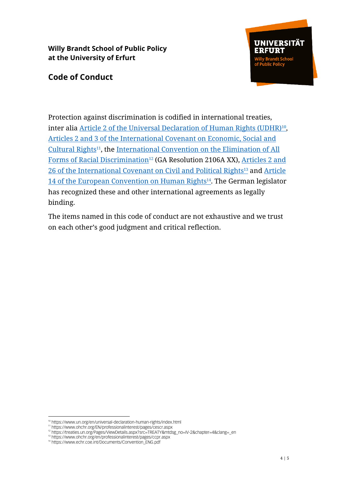## **Code of Conduct**



Protection against discrimination is codified in international treaties, inter alia <u>[Article 2 of the Universal Declaration of Human Rights \(UDHR\)](https://www.un.org/en/universal-declaration-human-rights/index.html)10</u>, Articles 2 and [3 of the International Covenant on Economic, Social and](https://www.ohchr.org/EN/professionalinterest/pages/cescr.aspx)  [Cultural Rights](https://www.ohchr.org/EN/professionalinterest/pages/cescr.aspx)<sup>11</sup>, the International Convention on the Elimination of All [Forms of Racial Discrimination](https://treaties.un.org/Pages/ViewDetails.aspx?src=TREATY&mtdsg_no=IV-2&chapter=4&clang=_en)<sup>12</sup> (GA Resolution 2106A XX), [Articles](https://www.ohchr.org/en/professionalinterest/pages/ccpr.aspx) 2 and 26 of the [International Covenant on Civil and Political Rights](https://www.ohchr.org/en/professionalinterest/pages/ccpr.aspx)<sup>13</sup> and Article <u>[14 of the European Convention on Human Rights](https://www.echr.coe.int/Documents/Convention_ENG.pdf)<sup>14</sup>. The German legislator</u> has recognized these and other international agreements as legally binding.

The items named in this code of conduct are not exhaustive and we trust on each other's good judgment and critical reflection.

<sup>-</sup><sup>10</sup> https://www.un.org/en/universal-declaration-human-rights/index.html

<sup>11</sup> https://www.ohchr.org/EN/professionalinterest/pages/cescr.aspx

<sup>12</sup> https://treaties.un.org/Pages/ViewDetails.aspx?src=TREATY&mtdsg\_no=IV-2&chapter=4&clang=\_en

<sup>13</sup> https://www.ohchr.org/en/professionalinterest/pages/ccpr.aspx

<sup>14</sup> https://www.echr.coe.int/Documents/Convention\_ENG.pdf